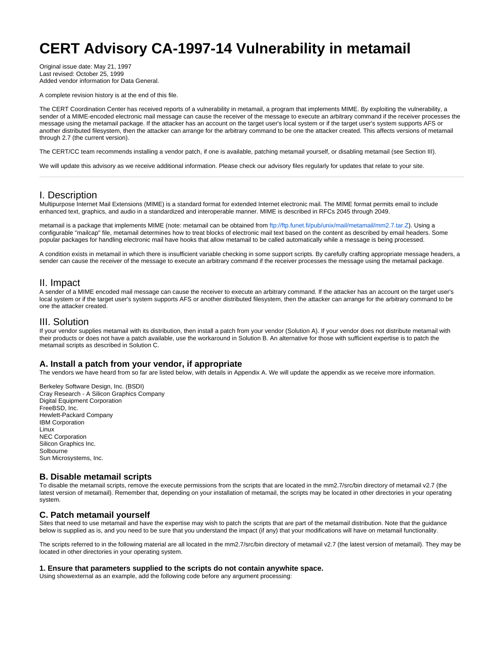# **CERT Advisory CA-1997-14 Vulnerability in metamail**

Original issue date: May 21, 1997 Last revised: October 25, 1999 Added vendor information for Data General.

A complete revision history is at the end of this file.

The CERT Coordination Center has received reports of a vulnerability in metamail, a program that implements MIME. By exploiting the vulnerability, a sender of a MIME-encoded electronic mail message can cause the receiver of the message to execute an arbitrary command if the receiver processes the message using the metamail package. If the attacker has an account on the target user's local system or if the target user's system supports AFS or another distributed filesystem, then the attacker can arrange for the arbitrary command to be one the attacker created. This affects versions of metamail through 2.7 (the current version).

The CERT/CC team recommends installing a vendor patch, if one is available, patching metamail yourself, or disabling metamail (see Section III).

We will update this advisory as we receive additional information. Please check our advisory files regularly for updates that relate to your site.

# I. Description

Multipurpose Internet Mail Extensions (MIME) is a standard format for extended Internet electronic mail. The MIME format permits email to include enhanced text, graphics, and audio in a standardized and interoperable manner. MIME is described in RFCs 2045 through 2049.

metamail is a package that implements MIME (note: metamail can be obtained from [ftp://ftp.funet.fi/pub/unix/mail/metamail/mm2.7.tar.Z\)](ftp://ftp.funet.fi/pub/unix/mail/metamail/mm2.7.tar.Z). Using a configurable "mailcap" file, metamail determines how to treat blocks of electronic mail text based on the content as described by email headers. Some popular packages for handling electronic mail have hooks that allow metamail to be called automatically while a message is being processed.

A condition exists in metamail in which there is insufficient variable checking in some support scripts. By carefully crafting appropriate message headers, a sender can cause the receiver of the message to execute an arbitrary command if the receiver processes the message using the metamail package.

## II. Impact

A sender of a MIME encoded mail message can cause the receiver to execute an arbitrary command. If the attacker has an account on the target user's local system or if the target user's system supports AFS or another distributed filesystem, then the attacker can arrange for the arbitrary command to be one the attacker created.

# III. Solution

If your vendor supplies metamail with its distribution, then install a patch from your vendor (Solution A). If your vendor does not distribute metamail with their products or does not have a patch available, use the workaround in Solution B. An alternative for those with sufficient expertise is to patch the metamail scripts as described in Solution C.

## **A. Install a patch from your vendor, if appropriate**

The vendors we have heard from so far are listed below, with details in Appendix A. We will update the appendix as we receive more information.

Berkeley Software Design, Inc. (BSDI) Cray Research - A Silicon Graphics Company Digital Equipment Corporation FreeBSD, Inc. Hewlett-Packard Company IBM Corporation Linux NEC Corporation Silicon Graphics Inc. Solbourne Sun Microsystems, Inc.

#### **B. Disable metamail scripts**

To disable the metamail scripts, remove the execute permissions from the scripts that are located in the mm2.7/src/bin directory of metamail v2.7 (the latest version of metamail). Remember that, depending on your installation of metamail, the scripts may be located in other directories in your operating system.

## **C. Patch metamail yourself**

Sites that need to use metamail and have the expertise may wish to patch the scripts that are part of the metamail distribution. Note that the guidance below is supplied as is, and you need to be sure that you understand the impact (if any) that your modifications will have on metamail functionality.

The scripts referred to in the following material are all located in the mm2.7/src/bin directory of metamail v2.7 (the latest version of metamail). They may be located in other directories in your operating system.

## **1. Ensure that parameters supplied to the scripts do not contain anywhite space.**

Using showexternal as an example, add the following code before any argument processing: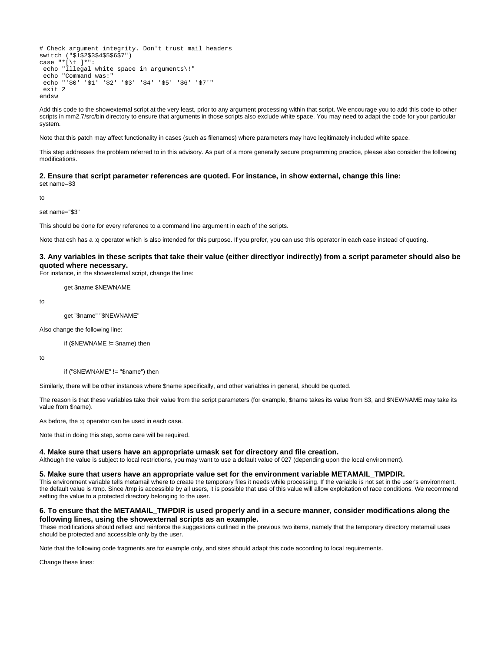```
# Check argument integrity. Don't trust mail headers
switch ("$1$2$3$4$5$6$7")
case "*[\t ]*":
 echo "Illegal white space in arguments\!"
 echo "Command was:"
 echo "'$0' '$1' '$2' '$3' '$4' '$5' '$6' '$7'"
 exit 2
endsw
```
Add this code to the showexternal script at the very least, prior to any argument processing within that script. We encourage you to add this code to other scripts in mm2.7/src/bin directory to ensure that arguments in those scripts also exclude white space. You may need to adapt the code for your particular system.

Note that this patch may affect functionality in cases (such as filenames) where parameters may have legitimately included white space.

This step addresses the problem referred to in this advisory. As part of a more generally secure programming practice, please also consider the following modifications.

#### **2. Ensure that script parameter references are quoted. For instance, in show external, change this line:** set name=\$3

to

set name="\$3"

This should be done for every reference to a command line argument in each of the scripts.

Note that csh has a :q operator which is also intended for this purpose. If you prefer, you can use this operator in each case instead of quoting.

#### **3. Any variables in these scripts that take their value (either directlyor indirectly) from a script parameter should also be quoted where necessary.**

For instance, in the showexternal script, change the line:

get \$name \$NEWNAME

to

get "\$name" "\$NEWNAME"

Also change the following line:

if (\$NEWNAME != \$name) then

to

if ("\$NEWNAME" != "\$name") then

Similarly, there will be other instances where \$name specifically, and other variables in general, should be quoted.

The reason is that these variables take their value from the script parameters (for example, \$name takes its value from \$3, and \$NEWNAME may take its value from \$name).

As before, the :q operator can be used in each case.

Note that in doing this step, some care will be required.

#### **4. Make sure that users have an appropriate umask set for directory and file creation.**

Although the value is subject to local restrictions, you may want to use a default value of 027 (depending upon the local environment).

#### **5. Make sure that users have an appropriate value set for the environment variable METAMAIL\_TMPDIR.**

This environment variable tells metamail where to create the temporary files it needs while processing. If the variable is not set in the user's environment, the default value is /tmp. Since /tmp is accessible by all users, it is possible that use of this value will allow exploitation of race conditions. We recommend setting the value to a protected directory belonging to the user.

## **6. To ensure that the METAMAIL\_TMPDIR is used properly and in a secure manner, consider modifications along the following lines, using the showexternal scripts as an example.**

These modifications should reflect and reinforce the suggestions outlined in the previous two items, namely that the temporary directory metamail uses should be protected and accessible only by the user.

Note that the following code fragments are for example only, and sites should adapt this code according to local requirements.

Change these lines: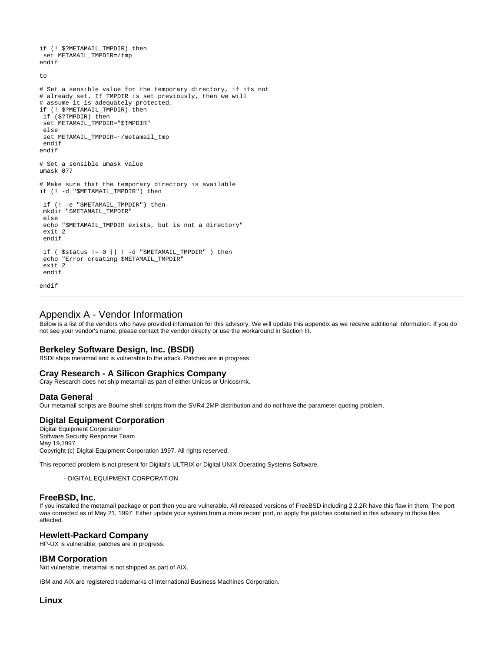if (! \$?METAMAIL TMPDIR) then set METAMAIL\_TMPDIR=/tmp endif to # Set a sensible value for the temporary directory, if its not # already set. If TMPDIR is set previously, then we will # assume it is adequately protected. if (! \$?METAMAIL\_TMPDIR) then if (\$?TMPDIR) then set METAMAIL\_TMPDIR="\$TMPDIR" else set METAMAIL\_TMPDIR=~/metamail\_tmp endif endif # Set a sensible umask value umask 077 # Make sure that the temporary directory is available if (! -d "\$METAMAIL\_TMPDIR") then if (! -e "\$METAMAIL\_TMPDIR") then mkdir "\$METAMAIL\_TMPDIR" else echo "\$METAMAIL\_TMPDIR exists, but is not a directory" exit 2 endif if ( $\text{Sstatus} := 0 \mid \mid \cdot -\text{d}$  " $\text{SMETAMAIL}$  TMPDIR" ) then echo "Error creating \$METAMAIL\_TMPDIR"  $ext{p}$ endif

```
endif
```
## Appendix A - Vendor Information

Below is a list of the vendors who have provided information for this advisory. We will update this appendix as we receive additional information. If you do not see your vendor's name, please contact the vendor directly or use the workaround in Section III.

#### **Berkeley Software Design, Inc. (BSDI)**

BSDI ships metamail and is vulnerable to the attack. Patches are in progress.

## **Cray Research - A Silicon Graphics Company**

Cray Research does not ship metamail as part of either Unicos or Unicos/mk.

#### **Data General**

Our metamail scripts are Bourne shell scripts from the SVR4.2MP distribution and do not have the parameter quoting problem.

#### **Digital Equipment Corporation**

Digital Equipment Corporation Software Security Response Team May 19,1997 Copyright (c) Digital Equipment Corporation 1997. All rights reserved.

This reported problem is not present for Digital's ULTRIX or Digital UNIX Operating Systems Software.

- DIGITAL EQUIPMENT CORPORATION

#### **FreeBSD, Inc.**

If you installed the metamail package or port then you are vulnerable. All released versions of FreeBSD including 2.2.2R have this flaw in them. The port was corrected as of May 21, 1997. Either update your system from a more recent port, or apply the patches contained in this advisory to those files affected.

#### **Hewlett-Packard Company**

HP-UX is vulnerable; patches are in progress.

## **IBM Corporation**

Not vulnerable, metamail is not shipped as part of AIX.

IBM and AIX are registered trademarks of International Business Machines Corporation.

# **Linux**